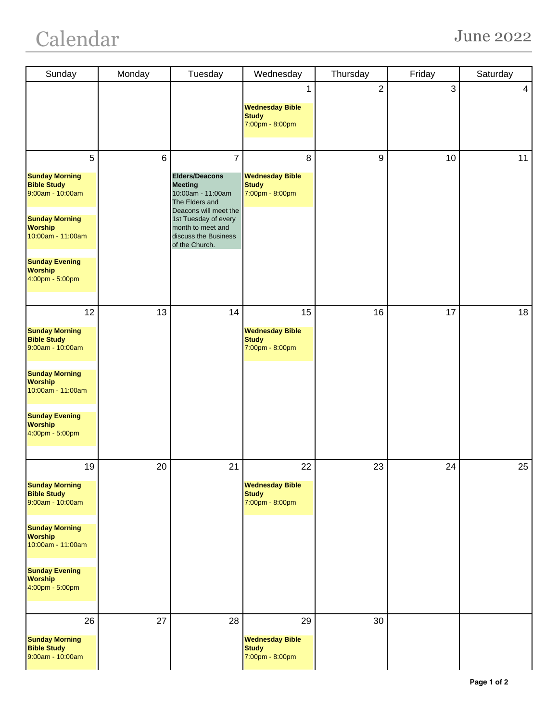## Calendar June 2022

| Sunday                                                                                                                                                                                              | Monday         | Tuesday                                                                                                                                                                                                          | Wednesday                                                       | Thursday       | Friday | Saturday |
|-----------------------------------------------------------------------------------------------------------------------------------------------------------------------------------------------------|----------------|------------------------------------------------------------------------------------------------------------------------------------------------------------------------------------------------------------------|-----------------------------------------------------------------|----------------|--------|----------|
|                                                                                                                                                                                                     |                |                                                                                                                                                                                                                  | 1<br><b>Wednesday Bible</b><br><b>Study</b><br>7:00pm - 8:00pm  | $\overline{2}$ | 3      | 4        |
| 5<br><b>Sunday Morning</b><br><b>Bible Study</b><br>9:00am - 10:00am<br><b>Sunday Morning</b><br><b>Worship</b><br>10:00am - 11:00am<br><b>Sunday Evening</b><br><b>Worship</b><br>4:00pm - 5:00pm  | $6\phantom{1}$ | $\overline{7}$<br><b>Elders/Deacons</b><br><b>Meeting</b><br>10:00am - 11:00am<br>The Elders and<br>Deacons will meet the<br>1st Tuesday of every<br>month to meet and<br>discuss the Business<br>of the Church. | 8<br><b>Wednesday Bible</b><br><b>Study</b><br>7:00pm - 8:00pm  | 9              | 10     | 11       |
| 12<br><b>Sunday Morning</b><br><b>Bible Study</b><br>9:00am - 10:00am<br><b>Sunday Morning</b><br><b>Worship</b><br>10:00am - 11:00am<br><b>Sunday Evening</b><br><b>Worship</b><br>4:00pm - 5:00pm | 13             | 14                                                                                                                                                                                                               | 15<br><b>Wednesday Bible</b><br><b>Study</b><br>7:00pm - 8:00pm | 16             | 17     | 18       |
| 19<br><b>Sunday Morning</b><br><b>Bible Study</b><br>9:00am - 10:00am<br><b>Sunday Morning</b><br><b>Worship</b><br>10:00am - 11:00am<br><b>Sunday Evening</b><br><b>Worship</b><br>4:00pm - 5:00pm | 20             | 21                                                                                                                                                                                                               | 22<br><b>Wednesday Bible</b><br><b>Study</b><br>7:00pm - 8:00pm | 23             | 24     | 25       |
| 26<br><b>Sunday Morning</b><br><b>Bible Study</b><br>9:00am - 10:00am                                                                                                                               | 27             | 28                                                                                                                                                                                                               | 29<br><b>Wednesday Bible</b><br><b>Study</b><br>7:00pm - 8:00pm | 30             |        |          |